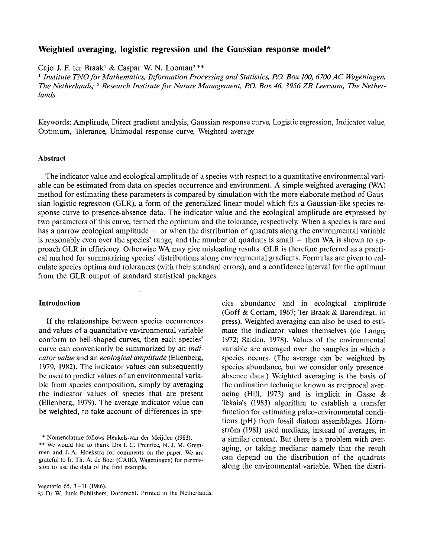# **Weighted averaging, logistic regression and the Gaussian response model\***

Cajo J. F. ter Braak<sup>1</sup> & Caspar W. N. Looman<sup>2\*\*</sup><br><sup>1</sup> *Institute TNO for Mathematics, Information Processing and Statistics, P.O. Box 100, 6700 AC Wageningen, The Netherlands;* 2 *Research Institute for Nature Management, P.O. Box 46, 3956 ZR Leersum, The Netherlands* 

Keywords: Amplitude, Direct gradient analysis, Gaussian response curve, Logistic regression, Indicator value, Optimum, Tolerance, Unimodal response curve, Weighted average

### **Abstract**

The indicator value and ecological amplitude of a species with respect to a quantitative environmental variable can be estimated from data on species occurrence and environment. A simple weighted averaging (WA) method for estimating these parameters is compared by simulation with the more elaborate method of Gaussian logistic regression (GLR), a form of the generalized linear model which fits a Gaussian-like species response curve to presence-absence data. The indicator value and the ecological amplitude are expressed by two parameters of this curve, termed the optimum and the tolerance, respectively. When a species is rare and has a narrow ecological amplitude  $-$  or when the distribution of quadrats along the environmental variable is reasonably even over the species' range, and the number of quadrats is small  $-$  then WA is shown to approach GLR in efficiency. Otherwise WA may give misleading results. GLR is therefore preferred as a practical method for summarizing species' distributions along environmental gradients. Formulas are given to calculate species optima and tolerances (with their standard errors), and a confidence interval for the optimum from the GLR output of standard statistical packages.

#### **Introduction**

If the relationships between species occurrences and values of a quantitative environmental variable conform to bell-shaped curves, then each species' curve can conveniently be summarized by an *indicator value* and an *ecological amplitude* (Ellenberg, 1979, 1982). The indicator values can subsequently be used to predict values of an environmental variable from species composition, simply by averaging the indicator values of species that are present (Ellenberg, 1979). The average indicator value can be weighted, to take account of differences in spe-

\* Nomenclature follows Heukels-van der Meijden (1983).

(Goff & Cottam, 1967; Ter Braak & Barendregt, in press). Weighted averaging can also be used to estimate the indicator values themselves (de Lange, 1972; Salden, 1978). Values of the environmental variable are averaged over the samples in which a species occurs. (The average can be weighted by species abundance, but we consider only presenceabsence data.) Weighted averaging is the basis of the ordination technique known as reciprocal averaging (Hill, 1973) and is implicit in Gasse  $\&$ Tekaia's (1983) algorithm to establish a transfer function for estimating paleo-environmental conditions (pH) from fossil diatom assemblages. Hörnström (1981) used medians, instead of averages, in a similar context. But there is a problem with averaging, or taking medians: namely that the result can depend on the distribution of the quadrats along the environmental variable. When the distri-

cies abundance and in ecological amplitude

<sup>\*\*</sup> We would like to thank Drs I. C. Prentice, N. J. M. Gremmen and J. A. Hoekstra for comments on the paper. We are grateful to Ir. Th. A. de Boer (CABO, Wageningen) for permission to use the data of the first example.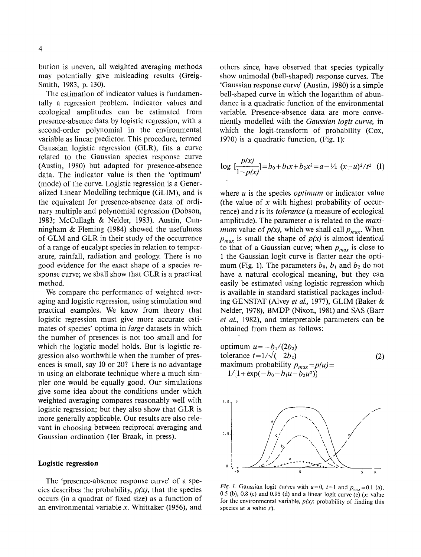bution is uneven, all weighted averaging methods may potentially give misleading results (Greig-Smith, 1983, p. 130).

The estimation of indicator values is fundamentally a regression problem. Indicator values and ecological amplitudes can be estimated from presence-absence data by logistic regression, with a second-order polynomial in the environmental variable as linear predictor. This procedure, termed Gaussian logistic regression (GLR), fits a curve related to the Gaussian species response curve (Austin, 1980) but adapted for presence-absence data. The indicator value is then the 'optimum' (mode) of the curve. Logistic regression is a Generalized Linear Modelling technique (GLIM), and is the equivalent for presence-absence data of ordinary multiple and polynomial regression (Dobson, 1983; McCullagh & Neider, 1983). Austin, Cunningham & Fleming (1984) showed the usefulness of GLM and GLR in their study of the occurrence of a range of eucalypt species in relation to temperature, rainfall, radiation and geology. There is no good evidence for the exact shape of a species response curve; we shall show that GLR is a practical method.

We compare the performance of weighted averaging and logistic regression, using stimulation and practical examples. We know from theory that logistic regression must give more accurate estimates of species' optima in *large* datasets in which the number of presences is not too small and for which the logistic model holds. But is logistic regression also worthwhile when the number of presences is small, say 10 or 20? There is no advantage in using an elaborate technique where a much simpler one would be equally good. Our simulations give some idea about the conditions under which weighted averaging compares reasonably well with logistic regression; but they also show that GLR is more generally applicable. Our results are also relevant in choosing between reciprocal averaging and Gaussian ordination (Ter Braak, in press).

### **Logistic regression**

The 'presence-absence response curve' of a species describes the probability, *p(x),* that the species occurs (in a quadrat of fixed size) as a function of an environmental variable *x.* Whittaker (1956), and others since, have observed that species typically show unimodal (bell-shaped) response curves. The 'Gaussian response curve' (Austin, 1980) is a simple bell-shaped curve in which the logarithm of abundance is a quadratic function of the environmental variable. Presence-absence data are more conveniently modelled with the *Gaussian logit curve,* in which the logit-transform of probability (Cox, 1970) is a quadratic function, (Fig. 1):

$$
\log \left[\frac{p(x)}{1-p(x)}\right] = b_0 + b_1 x + b_2 x^2 = a - \frac{1}{2} (x-u)^2/t^2 \quad (1)
$$

where *u* is the species *optimum* or indicator value (the value of *x* with highest probability of occurrence) and tis its *tolerance* (a measure of ecological amplitude). The parameter *a* is related to the *maximum* value of  $p(x)$ , which we shall call  $p_{max}$ . When  $p_{max}$  is small the shape of  $p(x)$  is almost identical to that of a Gaussian curve; when  $p_{max}$  is close to 1 the Gaussian logit curve is flatter near the optimum (Fig. 1). The parameters  $b_0$ ,  $b_1$  and  $b_2$  do not have a natural ecological meaning, but they can easily be estimated using logistic regression which is available in standard statistical packages including GENSTAT (Alvey *eta!.,* 1977), GLIM (Baker & Neider, 1978), BMDP (Nixon, 1981) and SAS (Barr *et a/.,* 1982), and interpretable parameters can be obtained from them as follows:

optimum 
$$
u = -b_1/(2b_2)
$$

\ntolerance  $t = 1/\sqrt{(-2b_2)}$ 

\nmaximum probability  $p_{max} = p(u) = 1/[1 + \exp(-b_0 - b_1u - b_2u^2)]$ 

\n(2)



*Fig. 1.* Gaussian logit curves with  $u=0$ ,  $t=1$  and  $p_{max}=0.1$  (a), 0.5 (b), 0.8 (c) and 0.95 (d) and a linear logit curve (e)  $(x:$  value for the environmental variable,  $p(x)$ : probability of finding this species at a value  $x$ ).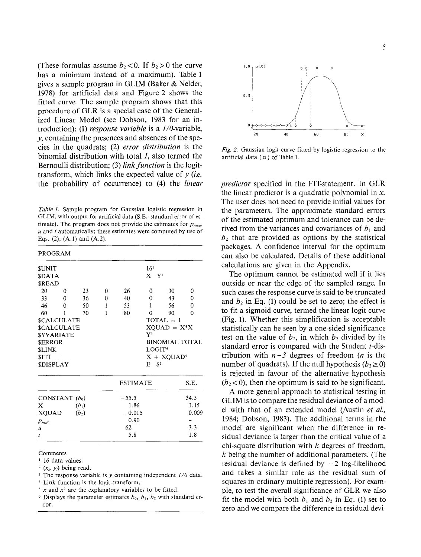(These formulas assume  $b_2 < 0$ . If  $b_2 > 0$  the curve has a minimum instead of a maximum). Table 1 gives a sample program in GLIM (Baker & Neider, 1978) for artificial data and Figure 2 shows the fitted curve. The sample program shows that this procedure of GLR is a special case of the Generalized Linear Model (see Dobson, 1983 for an introduction): (1) *response variable* is a 1/0-variable, *y,* containing the presences and absences of the species in the quadrats; (2) *error distribution* is the binomial distribution with total *, also termed the* Bernoulli distribution; (3) *link function* is the logittransform, which links the expected value of *y (i.e.*  the probability of occurrence) to (4) the *linear* 

*Table 1.* Sample program for Gaussian logistic regression in GLIM, with output for artificial data (S.E.: standard error of estimate). The program does not provide the estimates for  $p_{max}$ *u* and *t* automatically; these estimates were computed by use of Eqs. (2), (A.!) and (A.2).

| <b>PROGRAM</b>     |          |         |                 |                |                    |                       |          |  |  |  |
|--------------------|----------|---------|-----------------|----------------|--------------------|-----------------------|----------|--|--|--|
| <b>SUNIT</b>       |          |         |                 |                |                    |                       |          |  |  |  |
| <b>SDATA</b>       |          |         |                 | $X$ $Y^2$      |                    |                       |          |  |  |  |
| <b>SREAD</b>       |          |         |                 |                |                    |                       |          |  |  |  |
| 20                 | 0        | 23      | 0               | 26             | 0                  | 30                    | 0        |  |  |  |
| 33                 | $\Omega$ | 36      | 0               | 40             | 0                  | 43                    | 0        |  |  |  |
| 46                 | $\Omega$ | 50      | 1               | 53             | 1                  | 56                    | $\theta$ |  |  |  |
| 60                 | 1        | 70      | 1               | 80             | 0                  | 90                    | 0        |  |  |  |
| <b>SCALCULATE</b>  |          |         |                 |                |                    | $TOTAL = 1$           |          |  |  |  |
| <b>\$CALCULATE</b> |          |         |                 |                | $XQUAD = X^*X$     |                       |          |  |  |  |
| <b>SYVARIATE</b>   |          |         |                 | Y <sup>3</sup> |                    |                       |          |  |  |  |
| <b>SERROR</b>      |          |         |                 |                |                    | <b>BINOMIAL TOTAL</b> |          |  |  |  |
| <b>SLINK</b>       |          |         |                 |                | LOGIT <sup>4</sup> |                       |          |  |  |  |
| <b>SFIT</b>        |          |         |                 |                |                    | $X + XQUAD5$          |          |  |  |  |
| <b>SDISPLAY</b>    |          |         |                 |                | $E = S6$           |                       |          |  |  |  |
|                    |          |         | <b>ESTIMATE</b> |                |                    | S.E.                  |          |  |  |  |
| CONSTANT $(b_0)$   |          |         |                 | $-55.5$        |                    |                       | 34.5     |  |  |  |
| X                  |          | $(b_1)$ |                 | 1.86           |                    |                       | 1.15     |  |  |  |
| <b>XQUAD</b>       |          | $(b_2)$ |                 | $-0.015$       |                    |                       | 0.009    |  |  |  |
| $p_{\text{max}}$   |          |         |                 | 0.90           |                    |                       |          |  |  |  |
| $\boldsymbol{u}$   |          |         |                 | 62             |                    | 3.3                   |          |  |  |  |
| $\vec{I}$          |          |         |                 | 5.8            |                    |                       |          |  |  |  |

Comments

<sup>1</sup> 16 data values.

<sup>2</sup> ( $x<sub>i</sub>$ ,  $y<sub>i</sub>$ ) being read.<br><sup>3</sup> The response variable is *y* containing independent *1/0* data.<br><sup>4</sup> Link function is the logit-transform.<br><sup>5</sup> *x* and *x*<sup>2</sup> are the explanatory variables to be fitted.

<sup>6</sup> Displays the parameter estimates  $b_0$ ,  $b_1$ ,  $b_2$  with standard error.



*Fig. 2.* Gaussian logit curve fitted by logistic regression to the artificial data ( o ) of Table 1.

*predictor* specified in the FIT-statement. In GLR the linear predictor is a quadratic polynomial in *x.*  The user does not need to provide initial values for the parameters. The approximate standard errors of the estimated optimum and tolerance can be derived from the variances and covariances of  $b_1$  and  $b_2$  that are provided as options by the statistical packages. A confidence interval for the optimum can also be calculated. Details of these additional calculations are given in the Appendix.

The optimum cannot be estimated well if it lies outside or near the edge of the sampled range. In such cases the response curve is said to be truncated and  $b_2$  in Eq. (1) could be set to zero; the effect is to fit a sigmoid curve, termed the linear logit curve (Fig. 1). Whether this simplification is acceptable statistically can be seen by a one-sided significance test on the value of  $b_2$ , in which  $b_2$  divided by its standard error is compared with the Student t-distribution with  $n-3$  degrees of freedom (*n* is the number of quadrats). If the null hypothesis ( $b_2 \ge 0$ ) is rejected in favour of the alternative hypothesis  $(b<sub>2</sub> < 0)$ , then the optimum is said to be significant.

A more general approach to statistical testing in GLIM is to compare the residual deviance of a model with that of an extended model (Austin *et a!.,*  1984; Dobson, 1983). The additional terms in the model are significant when the difference in residual deviance is larger than the critical value of a chi-square distribution with  $k$  degrees of freedom,  $k$  being the number of additional parameters. (The residual deviance is defined by  $-2$  log-likelihood and takes a similar role as the residual sum of squares in ordinary multiple regression). For example, to test the overall significance of GLR we also fit the model with both  $b_1$  and  $b_2$  in Eq. (1) set to zero and we compare the difference in residual devi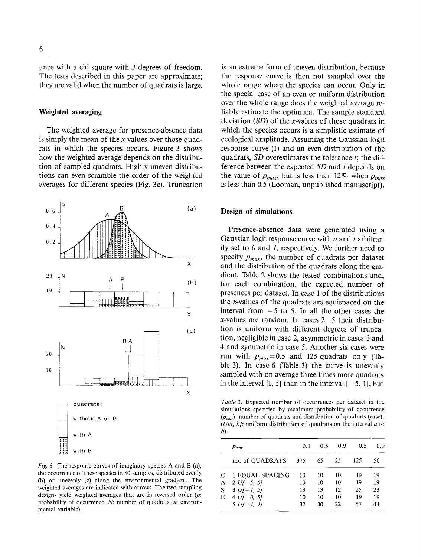ance with a chi-square with *2* degrees of freedom. The tests described in this paper are approximate; they are valid when the number of quadrats is large.

### **Weighted averaging**

The weighted average for presence-absence data is simply the mean of the x-values over those quadrats in which the species occurs. Figure 3 shows how the weighted average depends on the distribution of sampled quadrats. Highly uneven distributions can even scramble the order of the weighted averages for different species (Fig. 3c). Truncation



*Fig. 3.* The response curves of imaginary species A and B (a), the occurrence of these species in 80 samples, distributed evenly (b) or unevenly (c) along the environmental gradient. The weighted averages are indicated with arrows. The two sampling designs yield weighted averages that are in reversed order *(p:*  probability of occurrence,  $N$ : number of quadrats,  $x$ : environmental variable).

is an extreme form of uneven distribution, because the response curve is then not sampled over the whole range where the species can occur. Only in the special case of an even or uniform distribution over the whole range does the weighted average reliably estimate the optimum. The sample standard deviation  $(SD)$  of the x-values of those quadrats in which the species occurs is a simplistic estimate of ecological amplitude. Assuming the Gaussian logit response curve (1) and an even distribution of the quadrats, *SD* overestimates the tolerance *t;* the difference between the expected *SD* and *t* depends on the value of  $p_{max}$ , but is less than 12% when  $p_{max}$ is less than 0.5 (Looman, unpublished manuscript).

### **Design of simulations**

Presence-absence data were generated using a Gaussian logit response curve with *u* and *t* arbitrarily set to *0* and *1,* respectively. We further need to specify  $p_{max}$ , the number of quadrats per dataset and the distribution of the quadrats along the gradient. Table 2 shows the tested combinations and, for each combination, the expected number of presences per dataset. In case 1 of the distributions the x-values of the quadrats are equispaced on the interval from  $-5$  to 5. In all the other cases the x-values are random. In cases  $2-5$  their distribution is uniform with different degrees of truncation, negligible in case 2, asymmetric in cases 3 and 4 and symmetric in case 5. Another six cases were run with  $p_{max} = 0.5$  and 125 quadrats only (Table 3). In case 6 (Table 3) the curve is unevenly sampled with on average three times more quadrats in the interval  $[1, 5]$  than in the interval  $[-5, 1]$ , but

Table 2. Expected number of occurrences per dataset in the simulations specified by maximum probability of occurrence *(pmaxl,* number of quadrats and distribution of quadrats (case).  $(U/a, b)$ : uniform distribution of quadrats on the interval  $a$  to b).

|   | $p_{max}$         | 0.1 | 0.5 | 0.9 | 0.5 | 0.9 |
|---|-------------------|-----|-----|-----|-----|-----|
|   | no. of QUADRATS   | 375 | 65  | 25  | 125 | 50  |
|   | C 1 EQUAL SPACING | 10  | 10  | 10  | 19  | 19  |
| A | $2 U[-5, 5]$      | 10  | 10  | 10  | 19  | 19  |
| S | $3 U[-1, 5]$      | 13  | 13  | 12  | 25  | 23  |
| E | $4 U I$ 0, 51     | 10  | 10  | 10  | 19  | 19  |
|   | $5 U[-1, 1]$      | 32  | 30  | 22  | 57  | 44  |
|   |                   |     |     |     |     |     |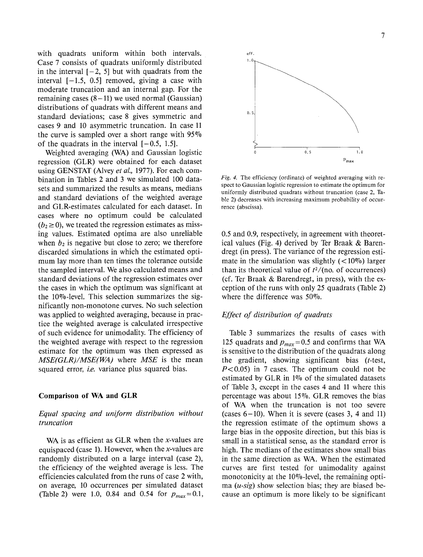with quadrats uniform within both intervals. Case 7 consists of quadrats uniformly distributed in the interval  $[-2, 5]$  but with quadrats from the interval  $[-1.5, 0.5]$  removed, giving a case with moderate truncation and an internal gap. For the remaining cases  $(8-11)$  we used normal (Gaussian) distributions of quadrats with different means and standard deviations; case 8 gives symmetric and cases 9 and 10 asymmetric truncation. In case 11 the curve is sampled over a short range with  $95\%$ of the quadrats in the interval  $[-0.5, 1.5]$ .

Weighted averaging (WA) and Gaussian logistic regression (GLR) were obtained for each dataset using GENSTAT (Alvey *et at.,* 1977). For each combination in Tables 2 and 3 we simulated 100 datasets and summarized the results as means, medians and standard deviations of the weighted average and GLR-estimates calculated for each dataset. In cases where no optimum could be calculated  $(b<sub>2</sub> \ge 0)$ , we treated the regression estimates as missing values. Estimated optima are also unreliable when  $b_2$  is negative but close to zero; we therefore discarded simulations in which the estimated optimum lay more than ten times the tolerance outside the sampled interval. We also calculated means and standard deviations of the regression estimates over the cases in which the optimum was significant at the 10%-level. This selection summarizes the significantly non-monotone curves. No such selection was applied to weighted averaging, because in practice the weighted average is calculated irrespective of such evidence for unimodality. The efficiency of the weighted average with respect to the regression estimate for the optimum was then expressed as *MSE(GLR)/MSE(WA)* where *MSE* is the mean squared error, *i.e.* variance plus squared bias.

### Comparison of WA and GLR

# *Equal spacing and uniform distribution without truncation*

WA is as efficient as GLR when the  $x$ -values are equispaced (case 1). However, when the x-values are randomly distributed on a large interval (case 2), the efficiency of the weighted average is less. The efficiencies calculated from the runs of case 2 with, on average, 10 occurrences per simulated dataset (Table 2) were 1.0, 0.84 and 0.54 for  $p_{max}=0.1$ ,



*Fig. 4.* The efficiency (ordinate) of weighted averaging with respect to Gaussian logistic regression to estimate the optimum for uniformly distributed quadrats without truncation (case 2, Table 2) decreases with increasing maximum probability of occurrence (abscissa).

0.5 and 0.9, respectively, in agreement with theoretical values (Fig. 4) derived by Ter Braak & Barendregt (in press). The variance of the regression estimate in the simulation was slightly  $(<10\%)$  larger than its theoretical value of  $t^2/(no.$  of occurrences) (cf. Ter Braak & Barendregt, in press), with the exception of the runs with only 25 quadrats (Table 2) where the difference was 50%.

## *Effect of distribution of quadrats*

Table 3 summarizes the results of cases with 125 quadrats and  $p_{max}$  = 0.5 and confirms that WA is sensitive to the distribution of the quadrats along the gradient, showing significant bias *(t-test, P<* 0.05) in 7 cases. The optimum could not be estimated by GLR in 1% of the simulated datasets of Table 3, except in the cases 4 and 11 where this percentage was about 15%. GLR removes the bias of WA when the truncation is not too severe (cases  $6-10$ ). When it is severe (cases 3, 4 and 11) the regression estimate of the optimum shows a large bias in the opposite direction, but this bias is small in a statistical sense, as the standard error is high. The medians of the estimates show small bias in the same direction as WA. When the estimated curves are first tested for unimodality against monotonicity at the 10%-level, the remaining optima *(u-sig)* show selection bias; they are biased because an optimum is more likely to be significant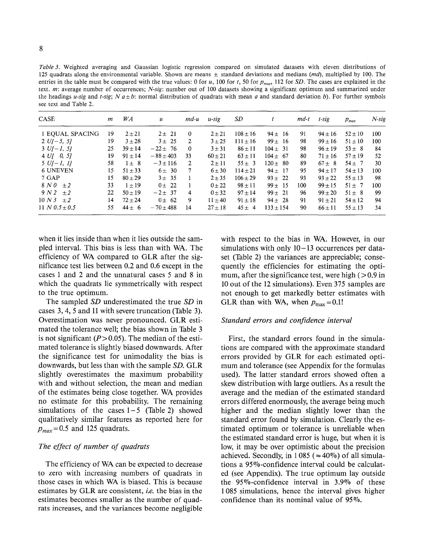*Table 3.* Weighted averaging and Gaussian logistic regression compared on simulated datasets with eleven distributions of 125 quadrats along the environmental variable. Shown are means ± standard deviations and medians *(md),* multiplied by 100. The entries in the table must be compared with the true values: 0 for *u,* 100 *fort,* 50 for *Pmax•* 112 for *SD.* The cases are explained in the text. *m:* average number of occurrences; *N-sig:* number out of 100 datasets showing a significant optimum and summarized under the headings *u-sig* and *t-sig*; N  $a \pm b$ : normal distribution of quadrats with mean *a* and standard deviation *b*). For further symbols see text and Table 2.

| <b>CASE</b>               | $\boldsymbol{m}$ | WA          | $\boldsymbol{u}$ | $md-u$   | $u$ -sig    | SD           |              | $md-t$ | $t$ -sig    | $p_{max}$   | $N$ -sig |
|---------------------------|------------------|-------------|------------------|----------|-------------|--------------|--------------|--------|-------------|-------------|----------|
| 1 EQUAL SPACING           | 19               | $2 + 21$    | $2 \pm 21$       | $\theta$ | $2 + 21$    | $108 \pm 16$ | $94 + 16$    | 91     | $94 + 16$   | $52 + 10$   | 100      |
| $2 U[-5, 5]$              | 19               | $3 + 28$    | $3 \pm 25$       | 2        | $3 + 25$    | $111 \pm 16$ | $99 + 16$    | 98     | $99 + 16$   | $51 \pm 10$ | 100      |
| $3 U[-1, 5]$              | 25               | $39 \pm 14$ | $-22 \pm 76$     | $\theta$ | $3 + 31$    | $86 \pm 11$  | $104 \pm 31$ | 98     | $96 \pm 19$ | $53 \pm 8$  | 84       |
| $4 U I$ 0, 5]             | 19               | $91 + 14$   | $-88 \pm 403$    | 33       | $60 + 21$   | $63 \pm 11$  | $104 \pm 67$ | 80     | $71 + 16$   | $57 \pm 19$ | 52       |
| $5 \; U[-1, 1]$           | 58               | $1 \pm 8$   | $-3 \pm 116$     | 2        | $2 \pm 11$  | $55 \pm 3$   | $120 \pm 80$ | 89     | $67 \pm 8$  | $54 \pm 7$  | 30       |
| <b>6 UNEVEN</b>           | 15               | $51 + 33$   | $6 \pm 30$       | 7        | $6 \pm 30$  | $114 + 21$   | $94 \pm 17$  | 95     | $94 + 17$   | $54 \pm 13$ | 100      |
| $7 \text{ GAP}$           | 15               | $80 + 29$   | $3 + 35$         |          | $2 + 35$    | $106 + 29$   | $93 \pm 22$  | 93     | $93 + 22$   | $55 \pm 13$ | -98      |
| 8 N O<br>$+2$             | 33               | $1 + 19$    | $0 \pm 22$       |          | $0 + 22$    | $98 \pm 11$  | $99 + 15$    | 100    | $99 + 15$   | $51 + 7$    | 100      |
| 9 N 2<br>$+2$             | 22               | $50 \pm 19$ | $-2 \pm 37$      | 4        | $0 \pm 32$  | $97 \pm 14$  | $99 \pm 21$  | 96     | $99 + 20$   | $51 \pm 8$  | 99       |
| 10 N <sub>3</sub><br>$+2$ | 14               | $72 + 24$   | $0 \pm 62$       | 9        | $11 + 40$   | $91 \pm 18$  | $94 \pm 28$  | 91     | $91 + 21$   | $54 \pm 12$ | 94       |
| 11 N $0.5 \pm 0.5$        | 55               | $44 + 6$    | $-70 \pm 488$    | 14       | $27 \pm 18$ | $45 \pm 4$   | $133 + 154$  | 90     | $66 + 11$   | $55 \pm 13$ | 34       |

when it lies inside than when it lies outside the sampled interval. This bias is less than with WA. The efficiency of WA compared to GLR after the significance test lies between 0.2 and 0.6 except in the cases 1 and 2 and the unnatural cases 5 and 8 in which the quadrats lie symmetrically with respect to the true optimum.

The sampled *SD* underestimated the true *SD* in cases 3, 4, 5 and 11 with severe truncation (Table 3). Overestimation was never pronounced. GLR estimated the tolerance well; the bias shown in Table 3 is not significant  $(P> 0.05)$ . The median of the estimated tolerance is slightly biased downwards. After the significance test for unimodality the bias is downwards, but less than with the sample *SD.* GLR slightly overestimates the maximum probability with and without selection, the mean and median of the estimates being close together. WA provides no estimate for this probability. The remaining simulations of the cases  $1-5$  (Table 2) showed qualitatively similar features as reported here for  $p_{max}=0.5$  and 125 quadrats.

## *The effect of number of quadrats*

The efficiency of WA can be expected to decrease to zero with increasing numbers of quadrats in those cases in which WA is biased. This is because estimates by GLR are consistent, *i.e.* the bias in the estimates becomes smaller as the number of quadrats increases, and the variances become negligible with respect to the bias in WA. However, in our simulations with only  $10-13$  occurrences per dataset (Table 2) the variances are appreciable; consequently the efficiencies for estimating the optimum, after the significance test, were high  $($  > 0.9 in 10 out of the 12 simulations). Even 375 samples are not enough to get markedly better estimates with GLR than with WA, when  $p_{\text{max}} = 0.1!$ 

#### *Standard errors and confidence interval*

First, the standard errors found in the simulations are compared with the approximate standard errors provided by GLR for each estimated optimum and tolerance (see Appendix for the formulas used). The latter standard errors showed often a skew distribution with large outliers. As a result the average and the median of the estimated standard errors differed enormously, the average being much higher and the median slightly lower than the standard error found by simulation. Clearly the estimated optimum or tolerance is unreliable when the estimated standard error is huge, but when it is low, it may be over optimistic about the precision achieved. Secondly, in 1 085 ( $\approx$  40%) of all simulations a 95%-confidence interval could be calculated (see Appendix). The true optimum lay outside the 95%-confidence interval in 3.9% of these 1 085 simulations, hence the interval gives higher confidence than its nominal value of 95%.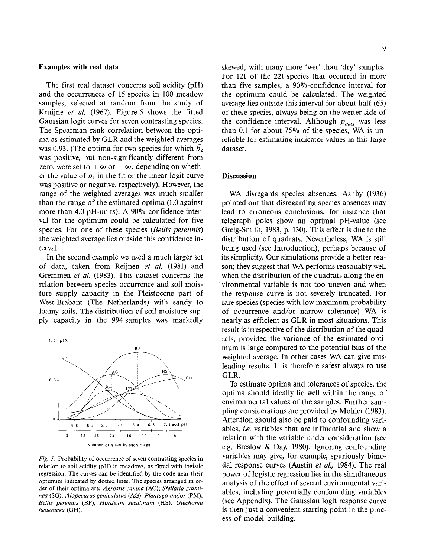### Examples with real data

The first real dataset concerns soil acidity (pH) and the occurrences of 15 species in 100 meadow samples, selected at random from the study of Kruijne *et at.* (1967). Figure 5 shows the fitted Gaussian logit curves for seven contrasting species. The Spearman rank correlation between the optima as estimated by GLR and the weighted averages was 0.93. (The optima for two species for which  $\mathbf{b}_2$ was positive, but non-significantly different from zero, were set to  $+\infty$  or  $-\infty$ , depending on whether the value of  $b_1$  in the fit or the linear logit curve was positive or negative, respectively). However, the range of the weighted averages was much smaller than the range of the estimated optima (1.0 against more than 4.0 pH-units). A  $90\%$ -confidence interval for the optimum could be calculated for five species. For one of these species *(Bellis perennis)*  the weighted average lies outside this confidence interval.

In the second example we used a much larger set of data, taken from Reijnen *et at.* (1981) and Gremmen *et al.* (1983). This dataset concerns the relation between species occurrence and soil moisture supply capacity in the Pleistocene part of West-Brabant (The Netherlands) with sandy to loamy soils. The distribution of soil moisture supply capacity in the 994 samples was markedly



*Fig. 5.* Probability of occurrence of seven contrasting species in relation to soil acidity (pH) in meadows, as fitted with logistic regression. The curves can be identified by the code near their optimum indicated by dotted lines. The species arranged in order of their optima are: *Agrostis canina* (AC); *Stellaria graminea* (SG); *Alopecurus geniculatus* (AG); *Plantago major* (PM); *Bellis perennis* (BP); *Hordeum secalinum* (HS); *Glechoma hederacea* (GH).

skewed, with many more 'wet' than 'dry' samples. For 121 of the 221 species that occurred in more than five samples, a 90%-confidence interval for the optimum could be calculated. The weighted average lies outside this interval for about half (65) of these species, always being on the wetter side of the confidence interval. Although  $p_{max}$  was less than 0.1 for about  $75\%$  of the species, WA is unreliable for estimating indicator values in this large dataset.

### **Discussion**

WA disregards species absences. Ashby (1936) pointed out that disregarding species absences may lead to erroneous conclusions, for instance that telegraph poles show an optimal pH-value (see Greig-Smith, 1983, p. 130). This effect is due to the distribution of quadrats. Nevertheless, WA is still being used (see Introduction), perhaps because of its simplicity. Our simulations provide a better reason; they suggest that WA performs reasonably well when the distribution of the quadrats along the environmental variable is not too uneven and when the response curve is not severely truncated. For rare species (species with low maximum probability of occurrence and/or narrow tolerance) WA is nearly as efficient as GLR in most situations. This result is irrespective of the distribution of the quadrats, provided the variance of the estimated optimum is large compared to the potential bias of the weighted average. In other cases WA can give misleading results. It is therefore safest always to use GLR.

To estimate optima and tolerances of species, the optima should ideally lie well within the range of environmental values of the samples. Further sampling considerations are provided by Mohler (1983). Attention should also be paid to confounding variables, *i.e.* variables that are influential and show a relation with the variable under consideration (see e.g. Breslow & Day, 1980). Ignoring confounding variables may give, for example, spuriously bimodal response curves (Austin *et at.,* 1984). The real power of logistic regression lies in the simultaneous analysis of the effect of several environmental variables, including potentially confounding variables (see Appendix). The Gaussian logit response curve is then just a convenient starting point in the process of model building.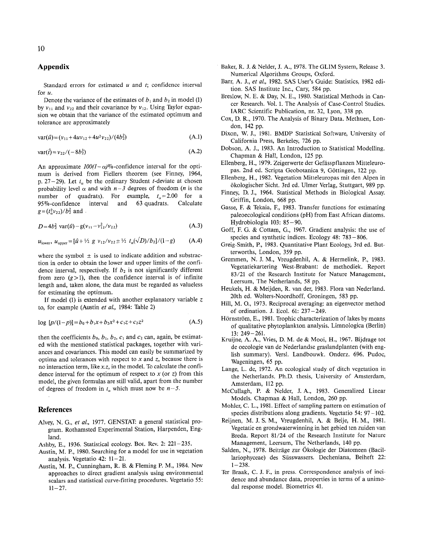# **Appendix**

Standard errors for estimated *u* and *t;* confidence interval for *u.* 

Denote the variance of the estimates of  $b_1$  and  $b_2$  in model (1) by  $v_{11}$  and  $v_{22}$  and their covariance by  $v_{12}$ . Using Taylor expansion we obtain that the variance of the estimated optimum and tolerance are approximately

$$
var(\hat{u}) = (\nu_{11} + 4uv_{12} + 4u^2\nu_{22})/(4b_2^2)
$$
 (A.1)

$$
var(\hat{t}) = \nu_{22}/(-8b_2^3)
$$
 (A.2)

An approximate  $100(1-\alpha)\%$ -confidence interval for the optimum is derived from Fiellers theorem (see Finney, 1964, p. 27-29). Let  $t_{\alpha}$  be the ordinary Student *t*-deviate at chosen probability level  $\alpha$  and with  $n-3$  degrees of freedom (*n* is the number of quadrats). For example,  $t_a = 2.00$  for a<br>95%-confidence interval and 63 quadrats. Calculate  $95\%$ -confidence interval and 63 quadrats.  $g = (t_0^2 v_{22})/b_2^2$  and.

$$
D = 4b_2^2 \text{ var}(\hat{u}) - g(\nu_{11} - \nu_{12}^2/\nu_{22})
$$
 (A.3)

$$
u_{\text{lower}}, \ u_{\text{upper}} = [\hat{u} + \frac{1}{2} g \ v_{12}/v_{22} \pm \frac{1}{2} t_{\alpha}(\sqrt{D})/b_2]/(1-g) \tag{A.4}
$$

where the symbol  $\pm$  is used to indicate addition and substraction in order to obtain the lower and upper limits of the confidence interval, respectively. If  $b_2$  is not significantly different from zero  $(g>1)$ , then the confidence interval is of infinite length and, taken alone, the data must be regarded as valueless for estimating the optimum.

If model (1) is extended with another explanatory variable *z*  to, for example (Austin *et* a/., 1984: Table 2)

$$
\log [p/(1-p)] = b_0 + b_1 x + b_2 x^2 + c_1 z + c_2 z^2 \tag{A.5}
$$

then the coefficients  $b_0$ ,  $b_1$ ,  $b_2$ ,  $c_1$  and  $c_2$  can, again, be estimated with the mentioned statistical packages, together with variances and covariances. This model can easily be summarized by optima and tolerances with respect to  $x$  and  $z$ , because there is no interaction term, like *x.z,* in the model. To calculate the confidence interval for the optimum of respect to  $x$  (or z) from this model, the given formulas are still valid, apart from the number of degrees of freedom in  $t_{\alpha}$  which must now be  $n-5$ .

#### **References**

- Alvey, N. G., et al., 1977. GENSTAT: a general statistical program. Rothamsted Experimental Station, Harpenden, England.
- Ashby, E., 1936. Statistical ecology. Bot. Rev. 2: 221-235.
- Austin, M. P., 1980. Searching for a model for use in vegetation analysis. Vegetatio 42:  $11-21$ .
- Austin, M. P., Cunningham, R. B. & Fleming P. M., 1984. New approaches to direct gradient analysis using environmental scalars and statistical curve-fitting procedures. Vegetatio 55:  $11 - 27$ .
- Baker, R. J. & Neider, J. A., 1978. The GLIM System, Release 3. Numerical Algorithms Groups, Oxford.
- Barr, A. J., *et a/.,* 1982. SAS User's Guide: Statistics, 1982 edition. SAS Institute Inc., Cary, 584 pp.
- Breslow, N. E. & Day, N. E., 1980. Statistical Methods in Cancer Research. Vol. 1. The Analysis of Case-Control Studies. IARC Scientific Publication, nr. 32, Lyon, 338 pp.
- Cox, D. R., 1970. The Analysis of Binary Data. Methuen, London, 142 pp.
- Dixon, W. J., 1981. BMDP Statistical Software, University of California Press, Berkeley, 726 pp.
- Dobson, A. J., 1983. An Introduction to Statistical Modelling. Chapman & Hall, London, 125 pp.
- Ellenberg, H., 1979. Zeigerwerte der Gefässpflanzen Mitteleuropas. 2nd ed. Scripta Geobotanica 9, Göttingen, 122 pp.
- Ellenberg, H., 1982. Vegetation Mitteleuropas mit den Alpen in ökologischer Sicht. 3rd ed. Ulmer Verlag, Stuttgart, 989 pp.
- Finney, D. J., 1964. Statistical Methods in Biological Assay. Griffin, London, 668 pp.
- Gasse, F. & Tekaia, F., 1983. Transfer functions for estimating paleoecological conditions (pH) from East African diatoms. Hydrobiologia 103: 85-90.
- Goff, F. G. & Cottam, G., 1967. Gradient analysis: the use of species and synthetic indices. Ecology 48: 783-806.
- Greig-Smith, P., 1983. Quantitative Plant Ecology, 3rd ed. Butterworths, London, 359 pp.
- Gremmen, N.J. M., Vreugdenhil, A. & Hermelink, P., 1983. Vegetatiekartering West-Brabant: de methodiek. Report 83/21 of the Research Institute for Nature Management, Leersum, The Netherlands, 58 pp.
- Henkels, H. & Meijden, R. van der, 1983. Flora van Nederland. 20th ed. Wolters-Noordhoff, Groningen, 583 pp.
- Hill, M. 0., 1973. Reciprocal averaging: an eigenvector method of ordination. J. Ecol. 61: 237-249.
- Hörnström, E., 1981. Trophic characterization of lakes by means of qualitative phytoplankton analysis. Limnologica (Berlin) 13: 249-261.
- Kruijne, A. A., Vries, D. M. de & Mooi, H., 1967. Bijdrage tot de oecologie van de Nederlandse graslandplanten (with english summary). Versl. Landbouwk. Onderz. 696. Pudoc, Wageningen, 65 pp.
- Lange, L. de, 1972. An ecological study of ditch vegetation in the Netherlands. Ph.D. thesis, University of Amsterdam, Amsterdam, 112 pp.
- McCullagh, P. & Neider, J. A., 1983. Generalized Linear Models. Chapman & Hall, London, 260 pp.
- Mohler, C. L., 1981. Effect of sampling pattern on estimation of species distributions along gradients. Vegetatio 54: 97-102.
- Reijnen, M. J. S. M., Vreugdenhil, A. & Beije, H. M., 1981. Vegetatie en grondwaterwinning in het gebied ten zuiden van Breda. Report 81/24 of the Research Institute for Nature Management, Leersum, The Netherlands, 140 pp.
- Salden, N., 1978. Beiträge zur Ökologie der Diatomeen (Bacillariophyceae) des Siisswassers. Decheniana, Beiheft 22:  $1 - 238.$
- Ter Braak, C. J. F., in press. Correspondence analysis of incidence and abundance data, properties in terms of a unimodal response model. Biometrics 41.